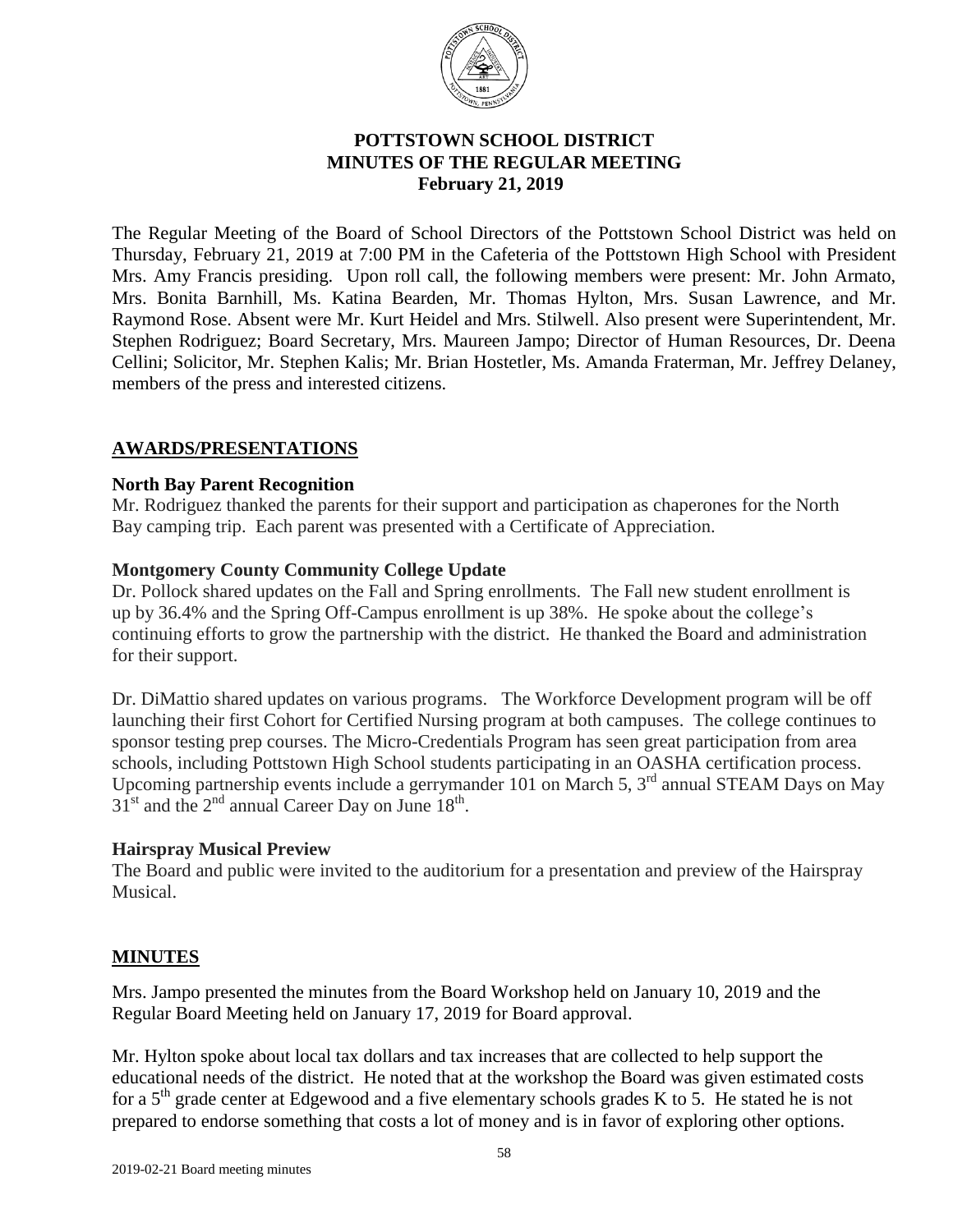

# **POTTSTOWN SCHOOL DISTRICT MINUTES OF THE REGULAR MEETING** **February 21, 2019**

The Regular Meeting of the Board of School Directors of the Pottstown School District was held on Thursday, February 21, 2019 at 7:00 PM in the Cafeteria of the Pottstown High School with President Mrs. Amy Francis presiding. Upon roll call, the following members were present: Mr. John Armato, Mrs. Bonita Barnhill, Ms. Katina Bearden, Mr. Thomas Hylton, Mrs. Susan Lawrence, and Mr. Raymond Rose. Absent were Mr. Kurt Heidel and Mrs. Stilwell. Also present were Superintendent, Mr. Stephen Rodriguez; Board Secretary, Mrs. Maureen Jampo; Director of Human Resources, Dr. Deena Cellini; Solicitor, Mr. Stephen Kalis; Mr. Brian Hostetler, Ms. Amanda Fraterman, Mr. Jeffrey Delaney, members of the press and interested citizens.

# **AWARDS/PRESENTATIONS**

## **North Bay Parent Recognition**

Mr. Rodriguez thanked the parents for their support and participation as chaperones for the North Bay camping trip. Each parent was presented with a Certificate of Appreciation.

## **Montgomery County Community College Update**

Dr. Pollock shared updates on the Fall and Spring enrollments. The Fall new student enrollment is up by 36.4% and the Spring Off-Campus enrollment is up 38%. He spoke about the college's continuing efforts to grow the partnership with the district. He thanked the Board and administration for their support.

Dr. DiMattio shared updates on various programs. The Workforce Development program will be off launching their first Cohort for Certified Nursing program at both campuses. The college continues to sponsor testing prep courses. The Micro-Credentials Program has seen great participation from area schools, including Pottstown High School students participating in an OASHA certification process. Upcoming partnership events include a gerrymander 101 on March 5, 3<sup>rd</sup> annual STEAM Days on May  $31^{\text{st}}$  and the  $2^{\text{nd}}$  annual Career Day on June  $18^{\text{th}}$ .

### **Hairspray Musical Preview**

The Board and public were invited to the auditorium for a presentation and preview of the Hairspray Musical.

# **MINUTES**

Mrs. Jampo presented the minutes from the Board Workshop held on January 10, 2019 and the Regular Board Meeting held on January 17, 2019 for Board approval.

Mr. Hylton spoke about local tax dollars and tax increases that are collected to help support the educational needs of the district. He noted that at the workshop the Board was given estimated costs for a  $5<sup>th</sup>$  grade center at Edgewood and a five elementary schools grades K to 5. He stated he is not prepared to endorse something that costs a lot of money and is in favor of exploring other options.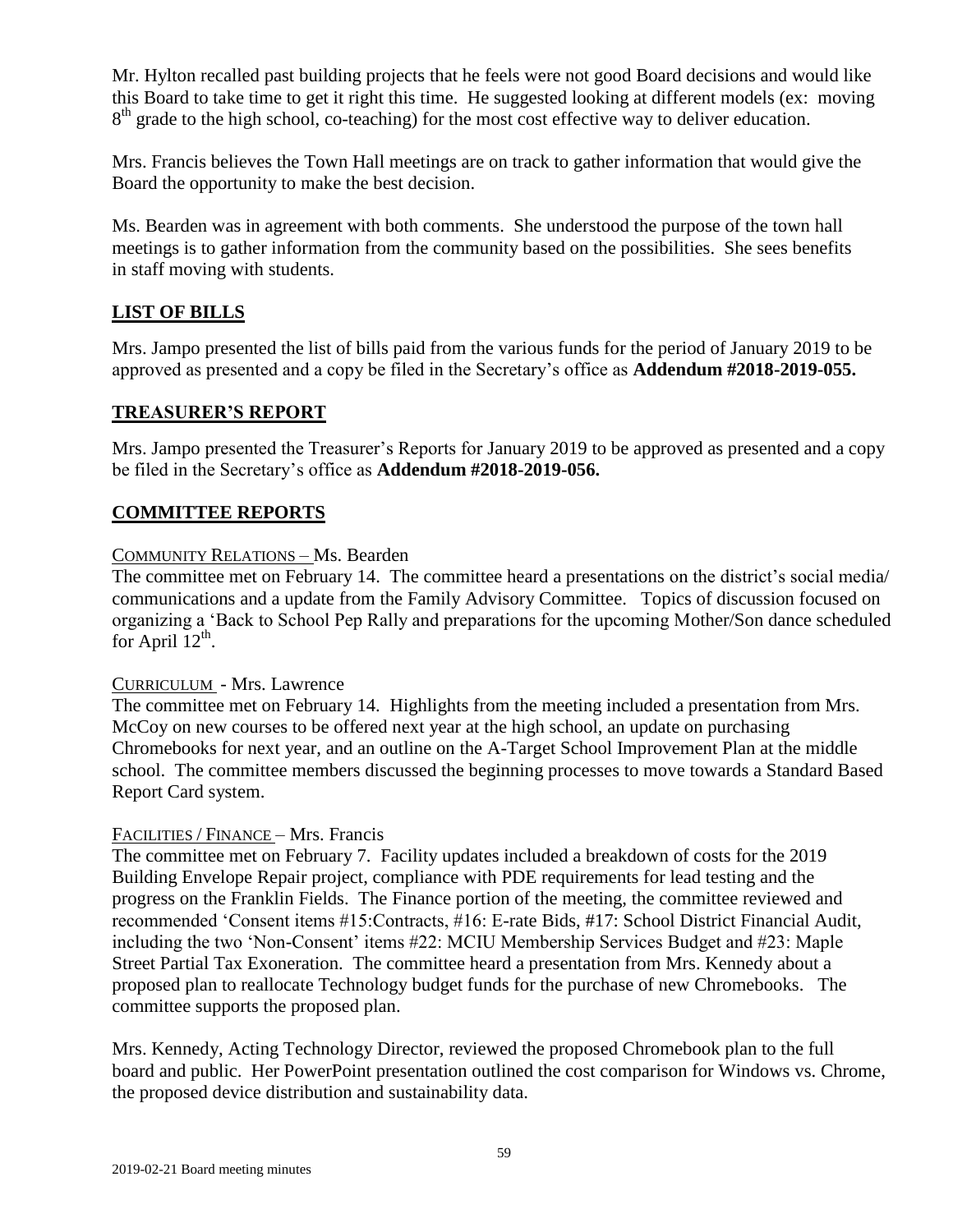Mr. Hylton recalled past building projects that he feels were not good Board decisions and would like this Board to take time to get it right this time. He suggested looking at different models (ex: moving 8<sup>th</sup> grade to the high school, co-teaching) for the most cost effective way to deliver education.

Mrs. Francis believes the Town Hall meetings are on track to gather information that would give the Board the opportunity to make the best decision.

Ms. Bearden was in agreement with both comments. She understood the purpose of the town hall meetings is to gather information from the community based on the possibilities. She sees benefits in staff moving with students.

# **LIST OF BILLS**

Mrs. Jampo presented the list of bills paid from the various funds for the period of January 2019 to be approved as presented and a copy be filed in the Secretary's office as **Addendum #2018-2019-055.**

## **TREASURER'S REPORT**

Mrs. Jampo presented the Treasurer's Reports for January 2019 to be approved as presented and a copy be filed in the Secretary's office as **Addendum #2018-2019-056.**

# **COMMITTEE REPORTS**

## COMMUNITY RELATIONS – Ms. Bearden

The committee met on February 14. The committee heard a presentations on the district's social media/ communications and a update from the Family Advisory Committee. Topics of discussion focused on organizing a 'Back to School Pep Rally and preparations for the upcoming Mother/Son dance scheduled for April  $12^{th}$ .

### CURRICULUM - Mrs. Lawrence

The committee met on February 14. Highlights from the meeting included a presentation from Mrs. McCoy on new courses to be offered next year at the high school, an update on purchasing Chromebooks for next year, and an outline on the A-Target School Improvement Plan at the middle school. The committee members discussed the beginning processes to move towards a Standard Based Report Card system.

### FACILITIES / FINANCE – Mrs. Francis

The committee met on February 7. Facility updates included a breakdown of costs for the 2019 Building Envelope Repair project, compliance with PDE requirements for lead testing and the progress on the Franklin Fields. The Finance portion of the meeting, the committee reviewed and recommended 'Consent items #15:Contracts, #16: E-rate Bids, #17: School District Financial Audit, including the two 'Non-Consent' items #22: MCIU Membership Services Budget and #23: Maple Street Partial Tax Exoneration. The committee heard a presentation from Mrs. Kennedy about a proposed plan to reallocate Technology budget funds for the purchase of new Chromebooks. The committee supports the proposed plan.

Mrs. Kennedy, Acting Technology Director, reviewed the proposed Chromebook plan to the full board and public. Her PowerPoint presentation outlined the cost comparison for Windows vs. Chrome, the proposed device distribution and sustainability data.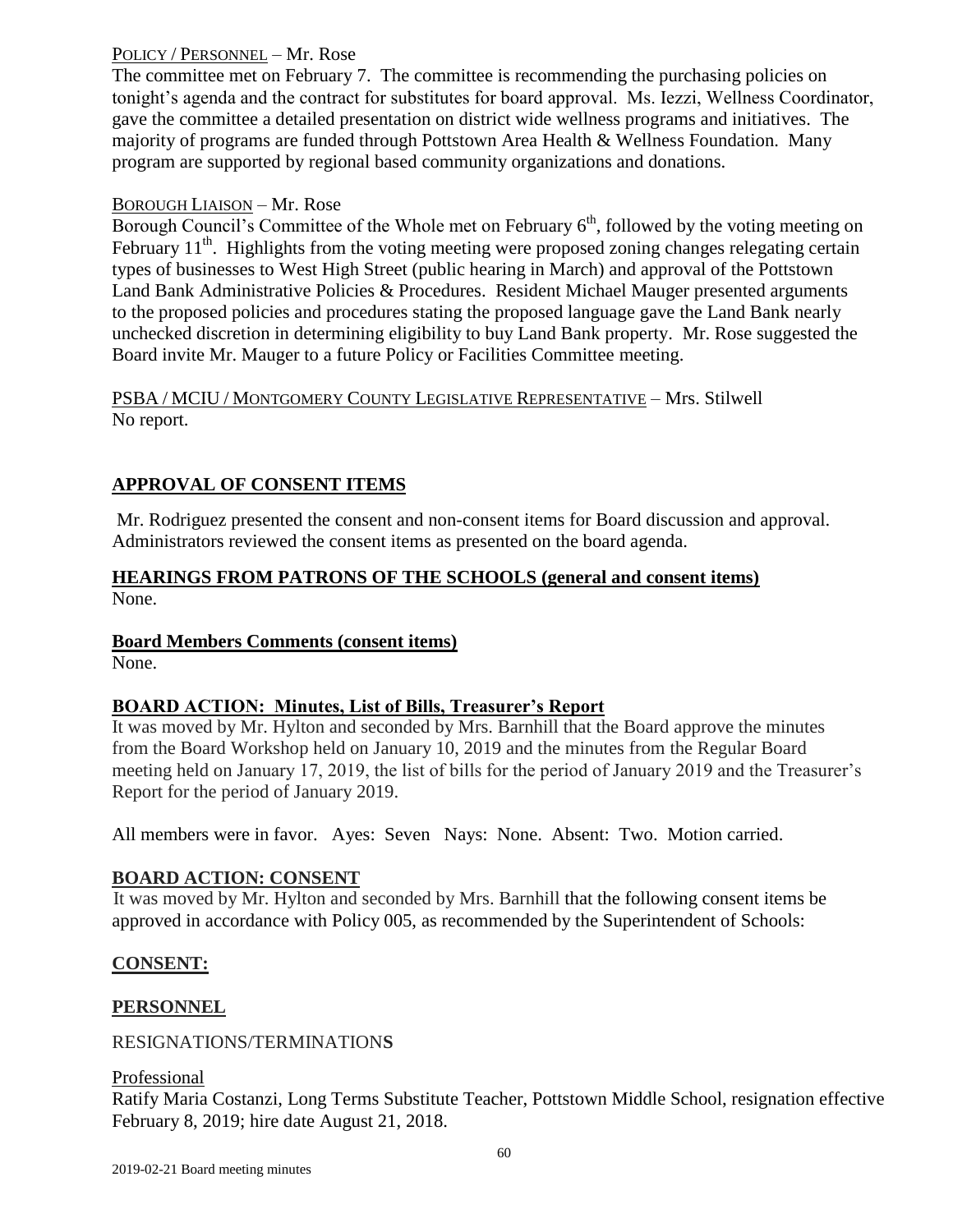## POLICY / PERSONNEL – Mr. Rose

The committee met on February 7. The committee is recommending the purchasing policies on tonight's agenda and the contract for substitutes for board approval. Ms. Iezzi, Wellness Coordinator, gave the committee a detailed presentation on district wide wellness programs and initiatives. The majority of programs are funded through Pottstown Area Health & Wellness Foundation. Many program are supported by regional based community organizations and donations.

## BOROUGH LIAISON – Mr. Rose

Borough Council's Committee of the Whole met on February  $6<sup>th</sup>$ , followed by the voting meeting on February 11<sup>th</sup>. Highlights from the voting meeting were proposed zoning changes relegating certain types of businesses to West High Street (public hearing in March) and approval of the Pottstown Land Bank Administrative Policies & Procedures. Resident Michael Mauger presented arguments to the proposed policies and procedures stating the proposed language gave the Land Bank nearly unchecked discretion in determining eligibility to buy Land Bank property. Mr. Rose suggested the Board invite Mr. Mauger to a future Policy or Facilities Committee meeting.

## PSBA / MCIU / MONTGOMERY COUNTY LEGISLATIVE REPRESENTATIVE – Mrs. Stilwell No report.

# **APPROVAL OF CONSENT ITEMS**

Mr. Rodriguez presented the consent and non-consent items for Board discussion and approval. Administrators reviewed the consent items as presented on the board agenda.

## **HEARINGS FROM PATRONS OF THE SCHOOLS (general and consent items)** None.

### **Board Members Comments (consent items)**

None.

# **BOARD ACTION: Minutes, List of Bills, Treasurer's Report**

It was moved by Mr. Hylton and seconded by Mrs. Barnhill that the Board approve the minutes from the Board Workshop held on January 10, 2019 and the minutes from the Regular Board meeting held on January 17, 2019, the list of bills for the period of January 2019 and the Treasurer's Report for the period of January 2019.

All members were in favor. Ayes: Seven Nays: None. Absent: Two. Motion carried.

# **BOARD ACTION: CONSENT**

It was moved by Mr. Hylton and seconded by Mrs. Barnhill that the following consent items be approved in accordance with Policy 005, as recommended by the Superintendent of Schools:

# **CONSENT:**

# **PERSONNEL**

### RESIGNATIONS/TERMINATION**S**

### Professional

Ratify Maria Costanzi, Long Terms Substitute Teacher, Pottstown Middle School, resignation effective February 8, 2019; hire date August 21, 2018.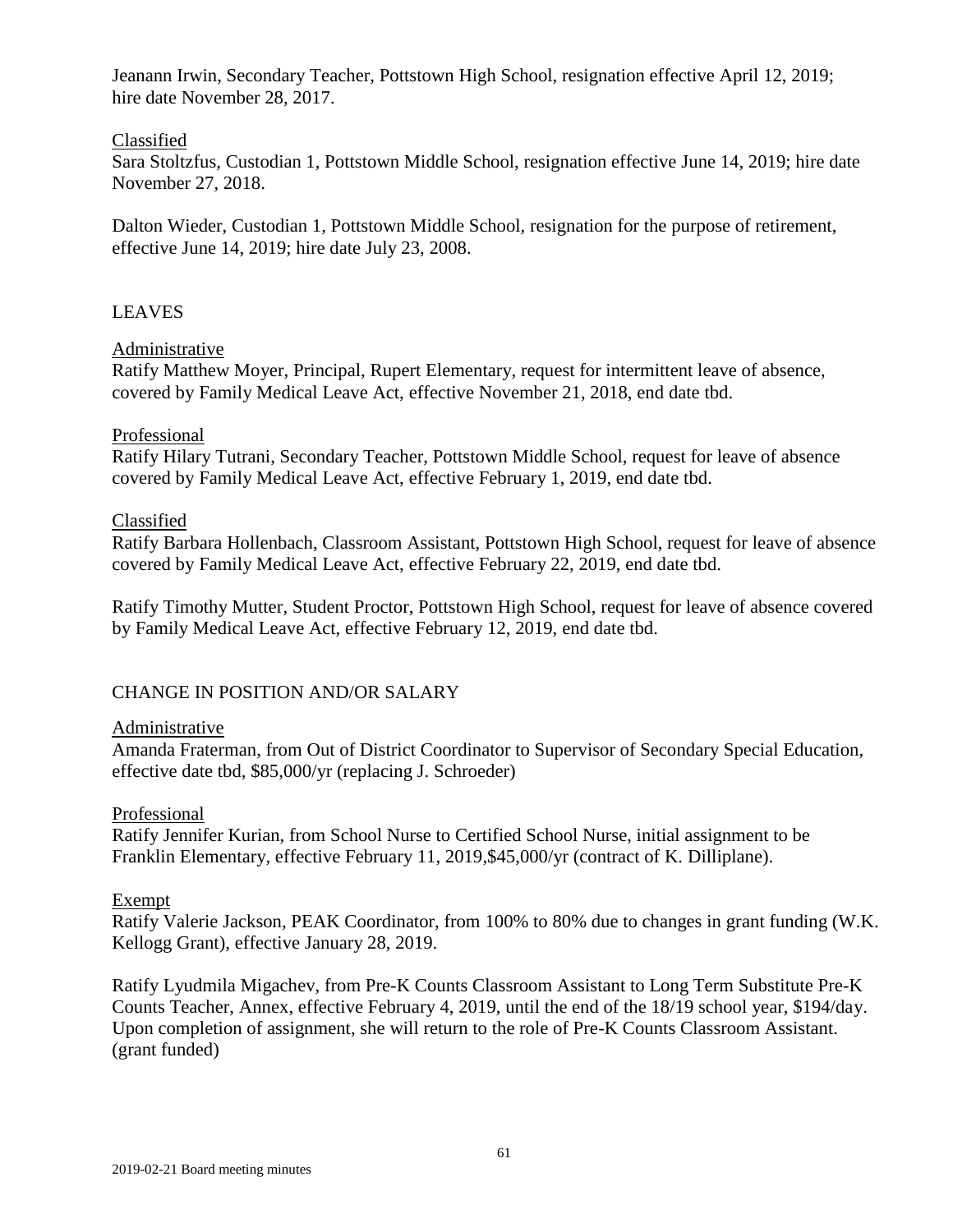Jeanann Irwin, Secondary Teacher, Pottstown High School, resignation effective April 12, 2019; hire date November 28, 2017.

### Classified

Sara Stoltzfus, Custodian 1, Pottstown Middle School, resignation effective June 14, 2019; hire date November 27, 2018.

Dalton Wieder, Custodian 1, Pottstown Middle School, resignation for the purpose of retirement, effective June 14, 2019; hire date July 23, 2008.

### LEAVES

### Administrative

Ratify Matthew Moyer, Principal, Rupert Elementary, request for intermittent leave of absence, covered by Family Medical Leave Act, effective November 21, 2018, end date tbd.

### Professional

Ratify Hilary Tutrani, Secondary Teacher, Pottstown Middle School, request for leave of absence covered by Family Medical Leave Act, effective February 1, 2019, end date tbd.

### Classified

Ratify Barbara Hollenbach, Classroom Assistant, Pottstown High School, request for leave of absence covered by Family Medical Leave Act, effective February 22, 2019, end date tbd.

Ratify Timothy Mutter, Student Proctor, Pottstown High School, request for leave of absence covered by Family Medical Leave Act, effective February 12, 2019, end date tbd.

### CHANGE IN POSITION AND/OR SALARY

#### Administrative

Amanda Fraterman, from Out of District Coordinator to Supervisor of Secondary Special Education, effective date tbd, \$85,000/yr (replacing J. Schroeder)

#### Professional

Ratify Jennifer Kurian, from School Nurse to Certified School Nurse, initial assignment to be Franklin Elementary, effective February 11, 2019,\$45,000/yr (contract of K. Dilliplane).

#### Exempt

Ratify Valerie Jackson, PEAK Coordinator, from 100% to 80% due to changes in grant funding (W.K. Kellogg Grant), effective January 28, 2019.

Ratify Lyudmila Migachev, from Pre-K Counts Classroom Assistant to Long Term Substitute Pre-K Counts Teacher, Annex, effective February 4, 2019, until the end of the 18/19 school year, \$194/day. Upon completion of assignment, she will return to the role of Pre-K Counts Classroom Assistant. (grant funded)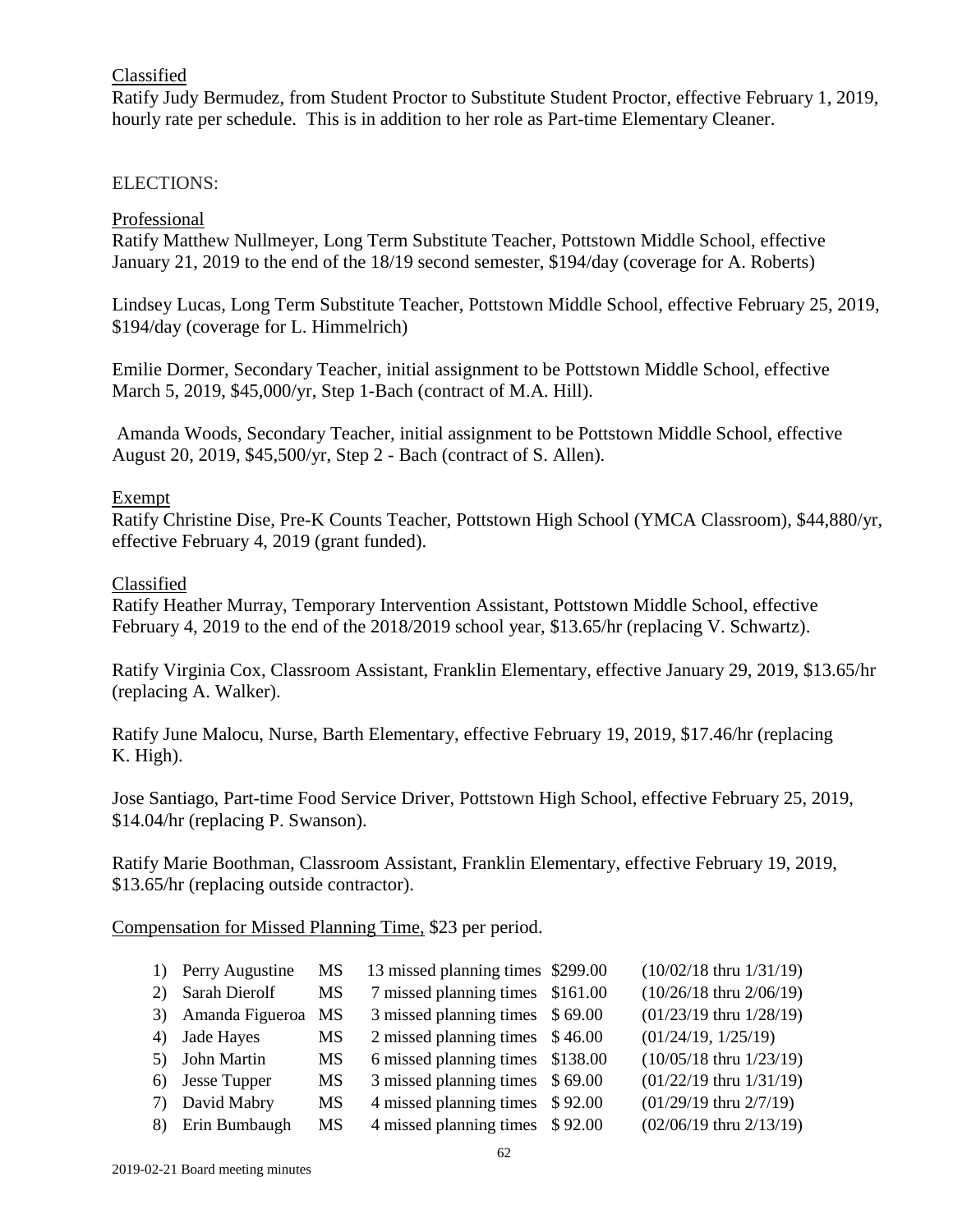## Classified

Ratify Judy Bermudez, from Student Proctor to Substitute Student Proctor, effective February 1, 2019, hourly rate per schedule. This is in addition to her role as Part-time Elementary Cleaner.

### ELECTIONS:

### Professional

Ratify Matthew Nullmeyer, Long Term Substitute Teacher, Pottstown Middle School, effective January 21, 2019 to the end of the 18/19 second semester, \$194/day (coverage for A. Roberts)

Lindsey Lucas, Long Term Substitute Teacher, Pottstown Middle School, effective February 25, 2019, \$194/day (coverage for L. Himmelrich)

Emilie Dormer, Secondary Teacher, initial assignment to be Pottstown Middle School, effective March 5, 2019, \$45,000/yr, Step 1-Bach (contract of M.A. Hill).

Amanda Woods, Secondary Teacher, initial assignment to be Pottstown Middle School, effective August 20, 2019, \$45,500/yr, Step 2 - Bach (contract of S. Allen).

### Exempt

Ratify Christine Dise, Pre-K Counts Teacher, Pottstown High School (YMCA Classroom), \$44,880/yr, effective February 4, 2019 (grant funded).

#### Classified

Ratify Heather Murray, Temporary Intervention Assistant, Pottstown Middle School, effective February 4, 2019 to the end of the 2018/2019 school year, \$13.65/hr (replacing V. Schwartz).

Ratify Virginia Cox, Classroom Assistant, Franklin Elementary, effective January 29, 2019, \$13.65/hr (replacing A. Walker).

Ratify June Malocu, Nurse, Barth Elementary, effective February 19, 2019, \$17.46/hr (replacing K. High).

Jose Santiago, Part-time Food Service Driver, Pottstown High School, effective February 25, 2019, \$14.04/hr (replacing P. Swanson).

Ratify Marie Boothman, Classroom Assistant, Franklin Elementary, effective February 19, 2019, \$13.65/hr (replacing outside contractor).

Compensation for Missed Planning Time, \$23 per period.

|    | 1) Perry Augustine | MS        | 13 missed planning times \$299.00 | $(10/02/18$ thru $1/31/19)$   |
|----|--------------------|-----------|-----------------------------------|-------------------------------|
| 2) | Sarah Dierolf      | MS        | 7 missed planning times \$161.00  | $(10/26/18)$ thru $2/06/19$ ) |
|    | 3) Amanda Figueroa | MS        | 3 missed planning times \$69.00   | $(01/23/19$ thru $1/28/19)$   |
|    | 4) Jade Hayes      | <b>MS</b> | 2 missed planning times \$46.00   | (01/24/19, 1/25/19)           |
|    | 5) John Martin     | MS        | 6 missed planning times \$138.00  | $(10/05/18$ thru $1/23/19)$   |
|    | 6) Jesse Tupper    | <b>MS</b> | 3 missed planning times \$69.00   | $(01/22/19$ thru $1/31/19)$   |
|    | 7) David Mabry     | <b>MS</b> | 4 missed planning times \$92.00   | $(01/29/19$ thru $2/7/19$ )   |
|    | 8) Erin Bumbaugh   | MS        | 4 missed planning times \$92.00   | $(02/06/19)$ thru $2/13/19$ ) |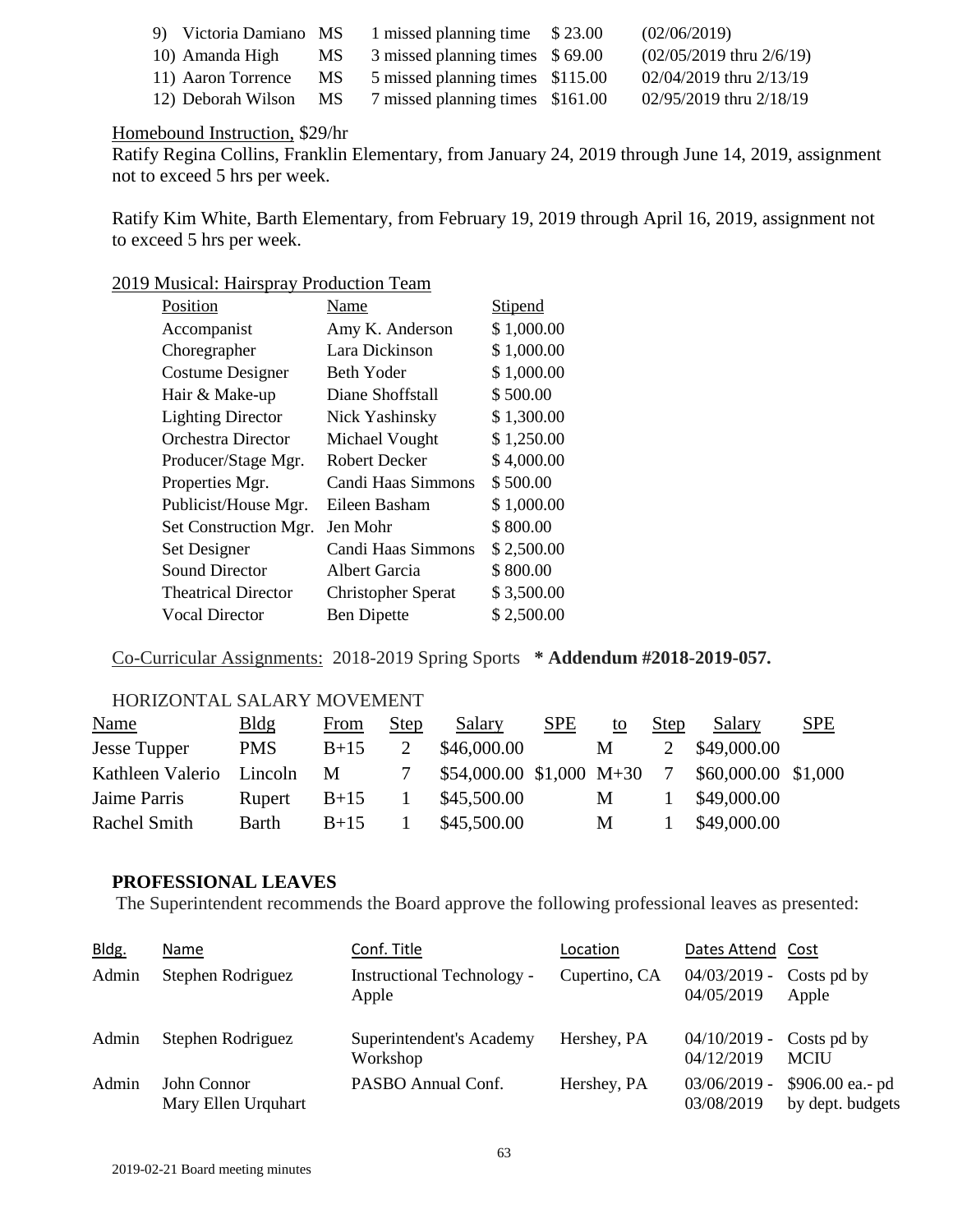| 9) Victoria Damiano MS |      | 1 missed planning time \$23.00   | (02/06/2019)                   |
|------------------------|------|----------------------------------|--------------------------------|
| 10) Amanda High        | MS . | 3 missed planning times \$69.00  | $(02/05/2019)$ thru $2/6/19$ ) |
| 11) Aaron Torrence     | MS.  | 5 missed planning times \$115.00 | 02/04/2019 thru 2/13/19        |
| 12) Deborah Wilson     | MS.  | 7 missed planning times \$161.00 | 02/95/2019 thru 2/18/19        |

### Homebound Instruction, \$29/hr

Ratify Regina Collins, Franklin Elementary, from January 24, 2019 through June 14, 2019, assignment not to exceed 5 hrs per week.

Ratify Kim White, Barth Elementary, from February 19, 2019 through April 16, 2019, assignment not to exceed 5 hrs per week.

### 2019 Musical: Hairspray Production Team

| Position                   | Name                      | <b>Stipend</b> |
|----------------------------|---------------------------|----------------|
| Accompanist                | Amy K. Anderson           | \$1,000.00     |
| Choregrapher               | Lara Dickinson            | \$1,000.00     |
| Costume Designer           | Beth Yoder                | \$1,000.00     |
| Hair & Make-up             | Diane Shoffstall          | \$500.00       |
| <b>Lighting Director</b>   | Nick Yashinsky            | \$1,300.00     |
| Orchestra Director         | Michael Vought            | \$1,250.00     |
| Producer/Stage Mgr.        | Robert Decker             | \$4,000.00     |
| Properties Mgr.            | Candi Haas Simmons        | \$500.00       |
| Publicist/House Mgr.       | Eileen Basham             | \$1,000.00     |
| Set Construction Mgr.      | Jen Mohr                  | \$800.00       |
| Set Designer               | Candi Haas Simmons        | \$2,500.00     |
| Sound Director             | Albert Garcia             | \$800.00       |
| <b>Theatrical Director</b> | <b>Christopher Sperat</b> | \$3,500.00     |
| <b>Vocal Director</b>      | <b>Ben Dipette</b>        | \$2,500.00     |

Co-Curricular Assignments: 2018-2019 Spring Sports **\* Addendum #2018-2019-057.**

### HORIZONTAL SALARY MOVEMENT

| <b>Name</b>         | Bldg         | From   | <b>Step</b> | Salary                       | <b>SPE</b> | to | <b>Step</b> | Salary              | <b>SPE</b> |
|---------------------|--------------|--------|-------------|------------------------------|------------|----|-------------|---------------------|------------|
| <b>Jesse Tupper</b> | <b>PMS</b>   | $B+15$ |             | \$46,000.00                  |            | M  |             | \$49,000.00         |            |
| Kathleen Valerio    | Lincoln      | $-M$   |             | $$54,000.00 \ $1,000 \ M+30$ |            |    |             | \$60,000.00 \$1,000 |            |
| Jaime Parris        | Rupert       | $B+15$ |             | \$45,500.00                  |            | M  |             | \$49,000.00         |            |
| Rachel Smith        | <b>Barth</b> | $B+15$ |             | \$45,500.00                  |            | M  |             | \$49,000.00         |            |

#### **PROFESSIONAL LEAVES**

The Superintendent recommends the Board approve the following professional leaves as presented:

| Bldg. | Name                               | Conf. Title                                | Location      | Dates Attend Cost                        |                                      |
|-------|------------------------------------|--------------------------------------------|---------------|------------------------------------------|--------------------------------------|
| Admin | Stephen Rodriguez                  | <b>Instructional Technology -</b><br>Apple | Cupertino, CA | $04/03/2019$ -<br>04/05/2019             | Costs pd by<br>Apple                 |
| Admin | Stephen Rodriguez                  | Superintendent's Academy<br>Workshop       | Hershey, PA   | $04/10/2019$ - Costs pd by<br>04/12/2019 | <b>MCIU</b>                          |
| Admin | John Connor<br>Mary Ellen Urquhart | PASBO Annual Conf.                         | Hershey, PA   | $03/06/2019$ -<br>03/08/2019             | \$906.00 ea.- pd<br>by dept. budgets |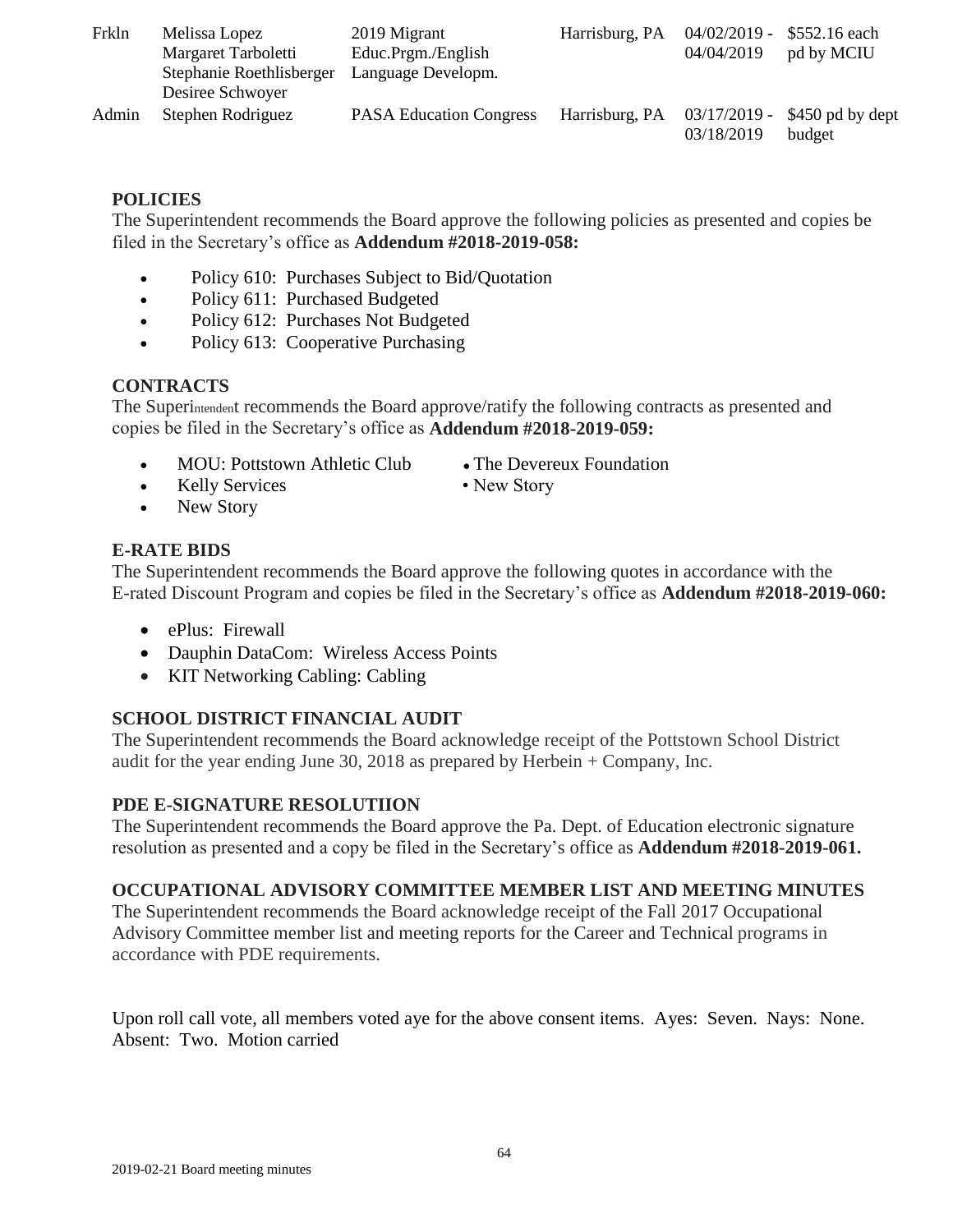| Frkln | Melissa Lopez<br>Margaret Tarboletti<br>Stephanie Roethlisberger<br>Desiree Schwoyer | 2019 Migrant<br>Educ.Prgm./English<br>Language Developm. | Harrisburg, PA | $04/02/2019 - $552.16$ each<br>04/04/2019 | pd by MCIU                 |
|-------|--------------------------------------------------------------------------------------|----------------------------------------------------------|----------------|-------------------------------------------|----------------------------|
| Admin | Stephen Rodriguez                                                                    | <b>PASA Education Congress</b>                           | Harrisburg, PA | $03/17/2019$ -<br>03/18/2019              | \$450 pd by dept<br>budget |

## **POLICIES**

The Superintendent recommends the Board approve the following policies as presented and copies be filed in the Secretary's office as **Addendum #2018-2019-058:**

- Policy 610: Purchases Subject to Bid/Quotation
- Policy 611: Purchased Budgeted
- Policy 612: Purchases Not Budgeted
- Policy 613: Cooperative Purchasing

## **CONTRACTS**

The Superintendent recommends the Board approve/ratify the following contracts as presented and copies be filed in the Secretary's office as **Addendum #2018-2019-059:**

- MOU: Pottstown Athletic Club The Devereux Foundation
	-
- Kelly Services New Story
- 

• New Story

# **E-RATE BIDS**

The Superintendent recommends the Board approve the following quotes in accordance with the E-rated Discount Program and copies be filed in the Secretary's office as **Addendum #2018-2019-060:**

- ePlus: Firewall
- Dauphin DataCom: Wireless Access Points
- KIT Networking Cabling: Cabling

# **SCHOOL DISTRICT FINANCIAL AUDIT**

The Superintendent recommends the Board acknowledge receipt of the Pottstown School District audit for the year ending June 30, 2018 as prepared by Herbein + Company, Inc.

### **PDE E-SIGNATURE RESOLUTIION**

The Superintendent recommends the Board approve the Pa. Dept. of Education electronic signature resolution as presented and a copy be filed in the Secretary's office as **Addendum #2018-2019-061.**

# **OCCUPATIONAL ADVISORY COMMITTEE MEMBER LIST AND MEETING MINUTES**

The Superintendent recommends the Board acknowledge receipt of the Fall 2017 Occupational Advisory Committee member list and meeting reports for the Career and Technical programs in accordance with PDE requirements.

Upon roll call vote, all members voted aye for the above consent items. Ayes: Seven. Nays: None. Absent: Two. Motion carried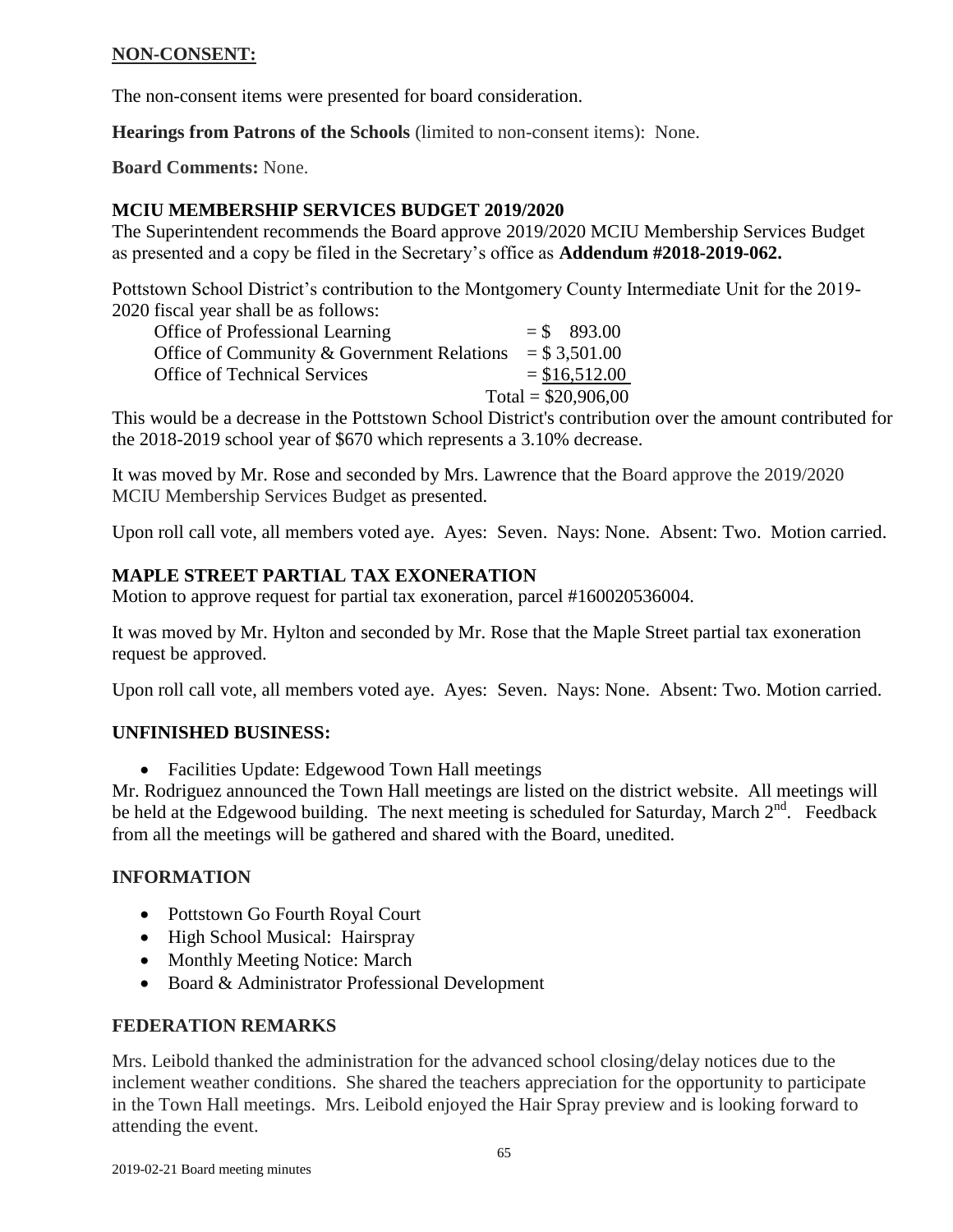## **NON-CONSENT:**

The non-consent items were presented for board consideration.

**Hearings from Patrons of the Schools** (limited to non-consent items): None.

**Board Comments:** None.

## **MCIU MEMBERSHIP SERVICES BUDGET 2019/2020**

The Superintendent recommends the Board approve 2019/2020 MCIU Membership Services Budget as presented and a copy be filed in the Secretary's office as **Addendum #2018-2019-062.**

Pottstown School District's contribution to the Montgomery County Intermediate Unit for the 2019- 2020 fiscal year shall be as follows:

| Office of Professional Learning            | $=$ \$ 893.00        |
|--------------------------------------------|----------------------|
| Office of Community & Government Relations | $=$ \$ 3,501.00      |
| <b>Office of Technical Services</b>        | $= $16,512.00$       |
|                                            | Total = $$20,906,00$ |

This would be a decrease in the Pottstown School District's contribution over the amount contributed for the 2018-2019 school year of \$670 which represents a 3.10% decrease.

It was moved by Mr. Rose and seconded by Mrs. Lawrence that the Board approve the 2019/2020 MCIU Membership Services Budget as presented.

Upon roll call vote, all members voted aye. Ayes: Seven. Nays: None. Absent: Two. Motion carried.

# **MAPLE STREET PARTIAL TAX EXONERATION**

Motion to approve request for partial tax exoneration, parcel #160020536004.

It was moved by Mr. Hylton and seconded by Mr. Rose that the Maple Street partial tax exoneration request be approved.

Upon roll call vote, all members voted aye. Ayes: Seven. Nays: None. Absent: Two. Motion carried.

### **UNFINISHED BUSINESS:**

• Facilities Update: Edgewood Town Hall meetings

Mr. Rodriguez announced the Town Hall meetings are listed on the district website. All meetings will be held at the Edgewood building. The next meeting is scheduled for Saturday, March 2<sup>nd</sup>. Feedback from all the meetings will be gathered and shared with the Board, unedited.

### **INFORMATION**

- Pottstown Go Fourth Royal Court
- High School Musical: Hairspray
- Monthly Meeting Notice: March
- Board & Administrator Professional Development

### **FEDERATION REMARKS**

Mrs. Leibold thanked the administration for the advanced school closing/delay notices due to the inclement weather conditions. She shared the teachers appreciation for the opportunity to participate in the Town Hall meetings. Mrs. Leibold enjoyed the Hair Spray preview and is looking forward to attending the event.